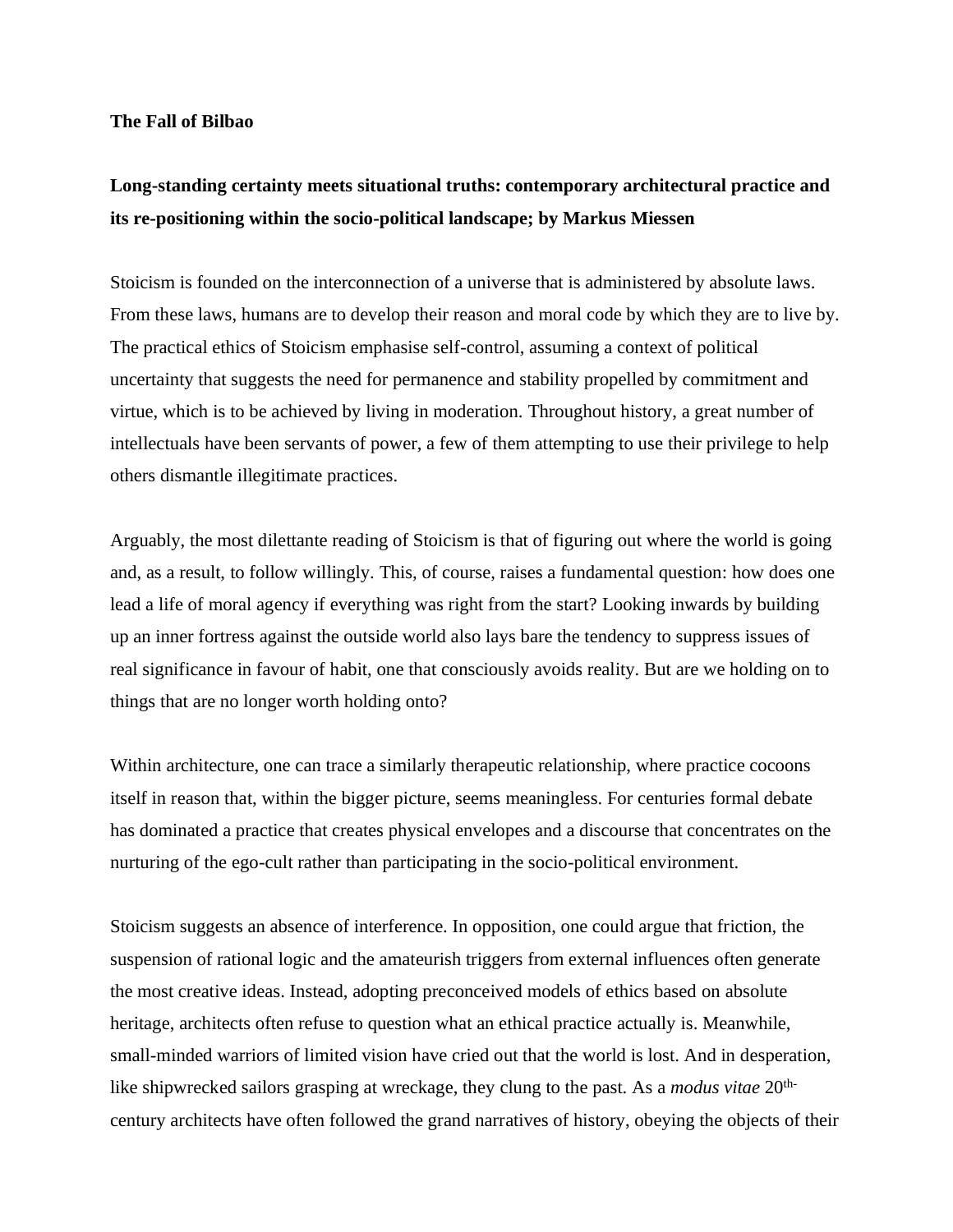## **The Fall of Bilbao**

## **Long-standing certainty meets situational truths: contemporary architectural practice and its re-positioning within the socio-political landscape; by Markus Miessen**

Stoicism is founded on the interconnection of a universe that is administered by absolute laws. From these laws, humans are to develop their reason and moral code by which they are to live by. The practical ethics of Stoicism emphasise self-control, assuming a context of political uncertainty that suggests the need for permanence and stability propelled by commitment and virtue, which is to be achieved by living in moderation. Throughout history, a great number of intellectuals have been servants of power, a few of them attempting to use their privilege to help others dismantle illegitimate practices.

Arguably, the most dilettante reading of Stoicism is that of figuring out where the world is going and, as a result, to follow willingly. This, of course, raises a fundamental question: how does one lead a life of moral agency if everything was right from the start? Looking inwards by building up an inner fortress against the outside world also lays bare the tendency to suppress issues of real significance in favour of habit, one that consciously avoids reality. But are we holding on to things that are no longer worth holding onto?

Within architecture, one can trace a similarly therapeutic relationship, where practice cocoons itself in reason that, within the bigger picture, seems meaningless. For centuries formal debate has dominated a practice that creates physical envelopes and a discourse that concentrates on the nurturing of the ego-cult rather than participating in the socio-political environment.

Stoicism suggests an absence of interference. In opposition, one could argue that friction, the suspension of rational logic and the amateurish triggers from external influences often generate the most creative ideas. Instead, adopting preconceived models of ethics based on absolute heritage, architects often refuse to question what an ethical practice actually is. Meanwhile, small-minded warriors of limited vision have cried out that the world is lost. And in desperation, like shipwrecked sailors grasping at wreckage, they clung to the past. As a *modus vitae* 20thcentury architects have often followed the grand narratives of history, obeying the objects of their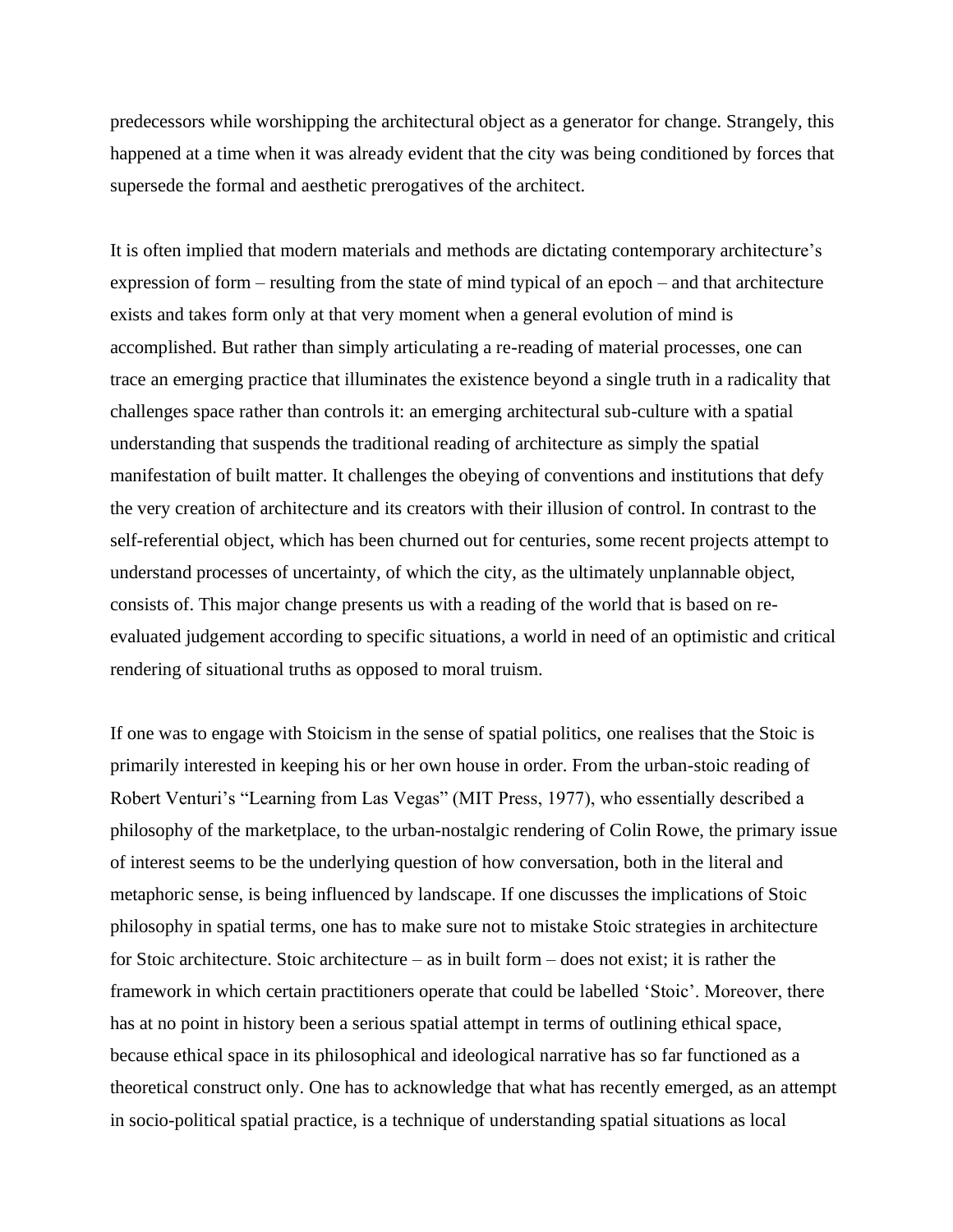predecessors while worshipping the architectural object as a generator for change. Strangely, this happened at a time when it was already evident that the city was being conditioned by forces that supersede the formal and aesthetic prerogatives of the architect.

It is often implied that modern materials and methods are dictating contemporary architecture's expression of form – resulting from the state of mind typical of an epoch – and that architecture exists and takes form only at that very moment when a general evolution of mind is accomplished. But rather than simply articulating a re-reading of material processes, one can trace an emerging practice that illuminates the existence beyond a single truth in a radicality that challenges space rather than controls it: an emerging architectural sub-culture with a spatial understanding that suspends the traditional reading of architecture as simply the spatial manifestation of built matter. It challenges the obeying of conventions and institutions that defy the very creation of architecture and its creators with their illusion of control. In contrast to the self-referential object, which has been churned out for centuries, some recent projects attempt to understand processes of uncertainty, of which the city, as the ultimately unplannable object, consists of. This major change presents us with a reading of the world that is based on reevaluated judgement according to specific situations, a world in need of an optimistic and critical rendering of situational truths as opposed to moral truism.

If one was to engage with Stoicism in the sense of spatial politics, one realises that the Stoic is primarily interested in keeping his or her own house in order. From the urban-stoic reading of Robert Venturi's "Learning from Las Vegas" (MIT Press, 1977), who essentially described a philosophy of the marketplace, to the urban-nostalgic rendering of Colin Rowe, the primary issue of interest seems to be the underlying question of how conversation, both in the literal and metaphoric sense, is being influenced by landscape. If one discusses the implications of Stoic philosophy in spatial terms, one has to make sure not to mistake Stoic strategies in architecture for Stoic architecture. Stoic architecture – as in built form – does not exist; it is rather the framework in which certain practitioners operate that could be labelled 'Stoic'. Moreover, there has at no point in history been a serious spatial attempt in terms of outlining ethical space, because ethical space in its philosophical and ideological narrative has so far functioned as a theoretical construct only. One has to acknowledge that what has recently emerged, as an attempt in socio-political spatial practice, is a technique of understanding spatial situations as local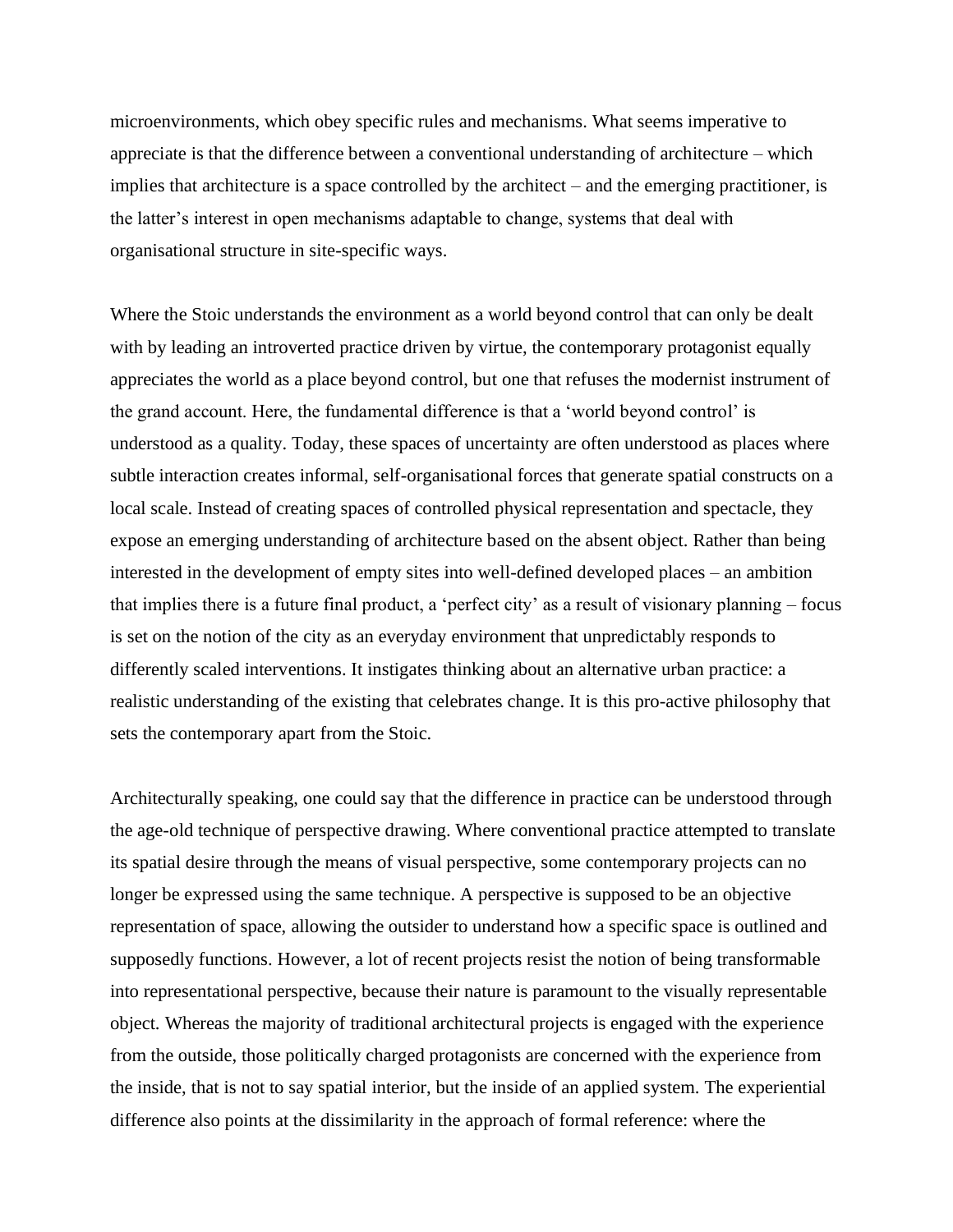microenvironments, which obey specific rules and mechanisms. What seems imperative to appreciate is that the difference between a conventional understanding of architecture – which implies that architecture is a space controlled by the architect – and the emerging practitioner, is the latter's interest in open mechanisms adaptable to change, systems that deal with organisational structure in site-specific ways.

Where the Stoic understands the environment as a world beyond control that can only be dealt with by leading an introverted practice driven by virtue, the contemporary protagonist equally appreciates the world as a place beyond control, but one that refuses the modernist instrument of the grand account. Here, the fundamental difference is that a 'world beyond control' is understood as a quality. Today, these spaces of uncertainty are often understood as places where subtle interaction creates informal, self-organisational forces that generate spatial constructs on a local scale. Instead of creating spaces of controlled physical representation and spectacle, they expose an emerging understanding of architecture based on the absent object. Rather than being interested in the development of empty sites into well-defined developed places – an ambition that implies there is a future final product, a 'perfect city' as a result of visionary planning – focus is set on the notion of the city as an everyday environment that unpredictably responds to differently scaled interventions. It instigates thinking about an alternative urban practice: a realistic understanding of the existing that celebrates change. It is this pro-active philosophy that sets the contemporary apart from the Stoic.

Architecturally speaking, one could say that the difference in practice can be understood through the age-old technique of perspective drawing. Where conventional practice attempted to translate its spatial desire through the means of visual perspective, some contemporary projects can no longer be expressed using the same technique. A perspective is supposed to be an objective representation of space, allowing the outsider to understand how a specific space is outlined and supposedly functions. However, a lot of recent projects resist the notion of being transformable into representational perspective, because their nature is paramount to the visually representable object. Whereas the majority of traditional architectural projects is engaged with the experience from the outside, those politically charged protagonists are concerned with the experience from the inside, that is not to say spatial interior, but the inside of an applied system. The experiential difference also points at the dissimilarity in the approach of formal reference: where the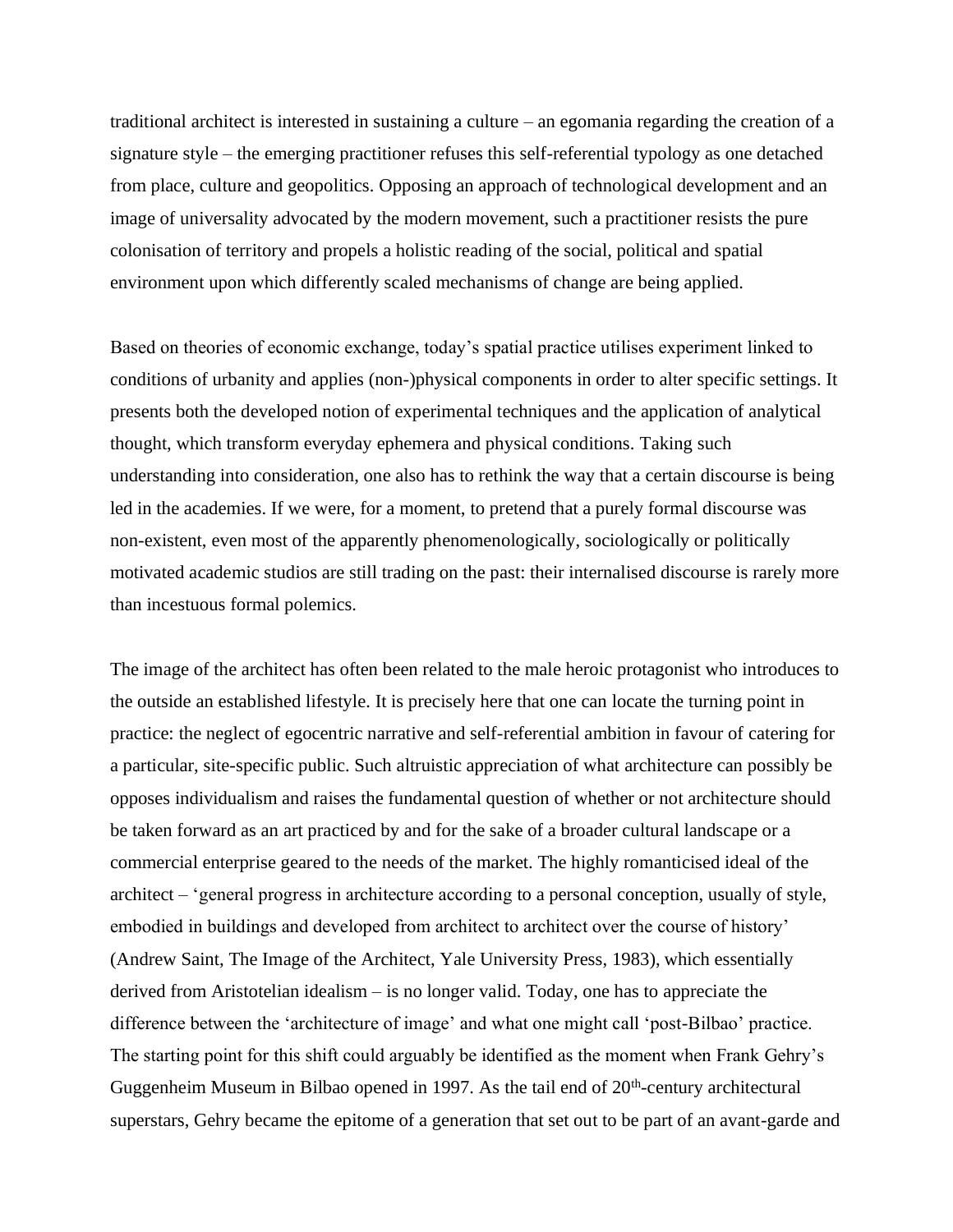traditional architect is interested in sustaining a culture – an egomania regarding the creation of a signature style – the emerging practitioner refuses this self-referential typology as one detached from place, culture and geopolitics. Opposing an approach of technological development and an image of universality advocated by the modern movement, such a practitioner resists the pure colonisation of territory and propels a holistic reading of the social, political and spatial environment upon which differently scaled mechanisms of change are being applied.

Based on theories of economic exchange, today's spatial practice utilises experiment linked to conditions of urbanity and applies (non-)physical components in order to alter specific settings. It presents both the developed notion of experimental techniques and the application of analytical thought, which transform everyday ephemera and physical conditions. Taking such understanding into consideration, one also has to rethink the way that a certain discourse is being led in the academies. If we were, for a moment, to pretend that a purely formal discourse was non-existent, even most of the apparently phenomenologically, sociologically or politically motivated academic studios are still trading on the past: their internalised discourse is rarely more than incestuous formal polemics.

The image of the architect has often been related to the male heroic protagonist who introduces to the outside an established lifestyle. It is precisely here that one can locate the turning point in practice: the neglect of egocentric narrative and self-referential ambition in favour of catering for a particular, site-specific public. Such altruistic appreciation of what architecture can possibly be opposes individualism and raises the fundamental question of whether or not architecture should be taken forward as an art practiced by and for the sake of a broader cultural landscape or a commercial enterprise geared to the needs of the market. The highly romanticised ideal of the architect – 'general progress in architecture according to a personal conception, usually of style, embodied in buildings and developed from architect to architect over the course of history' (Andrew Saint, The Image of the Architect, Yale University Press, 1983), which essentially derived from Aristotelian idealism – is no longer valid. Today, one has to appreciate the difference between the 'architecture of image' and what one might call 'post-Bilbao' practice. The starting point for this shift could arguably be identified as the moment when Frank Gehry's Guggenheim Museum in Bilbao opened in 1997. As the tail end of  $20<sup>th</sup>$ -century architectural superstars, Gehry became the epitome of a generation that set out to be part of an avant-garde and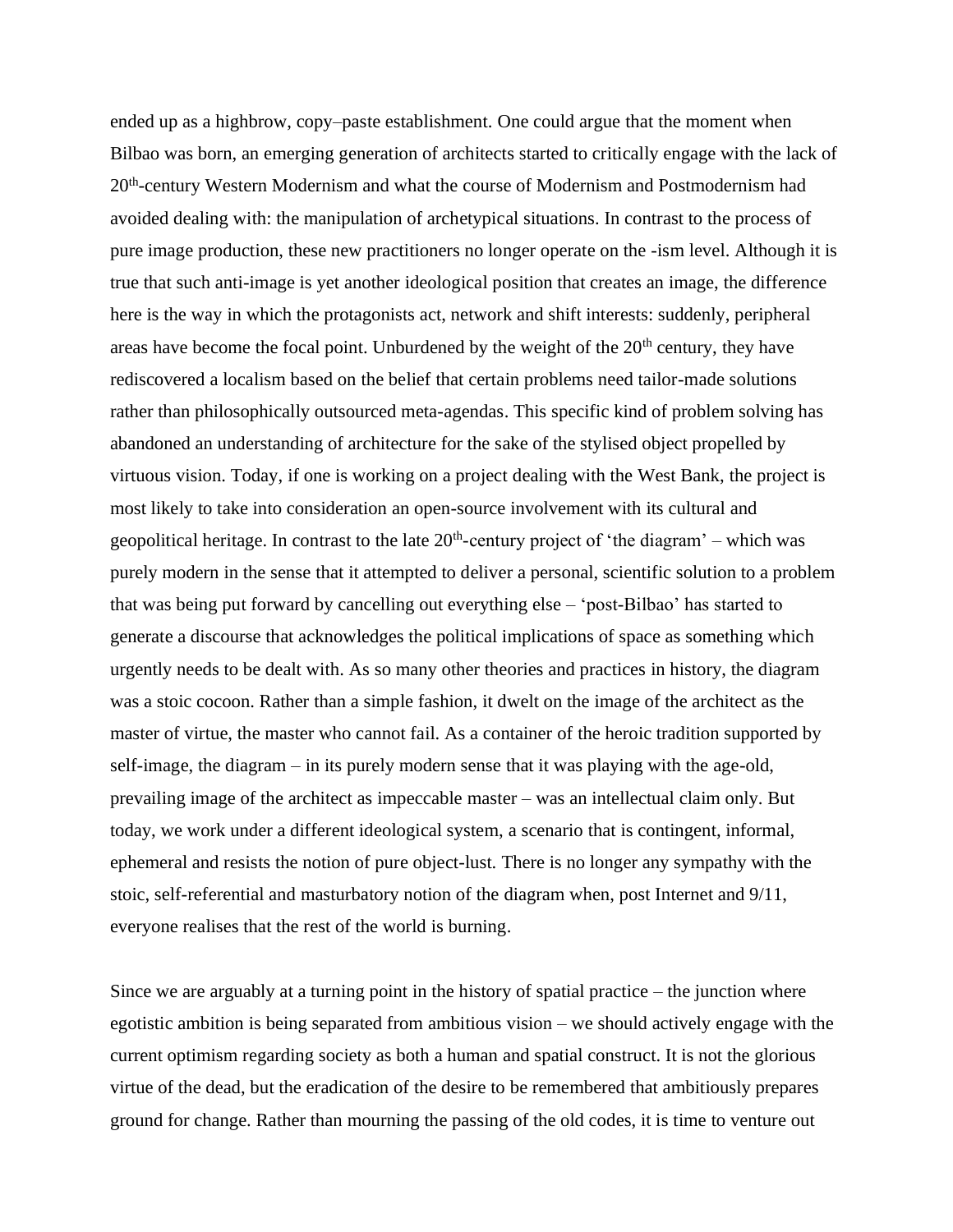ended up as a highbrow, copy–paste establishment. One could argue that the moment when Bilbao was born, an emerging generation of architects started to critically engage with the lack of 20<sup>th</sup>-century Western Modernism and what the course of Modernism and Postmodernism had avoided dealing with: the manipulation of archetypical situations. In contrast to the process of pure image production, these new practitioners no longer operate on the -ism level. Although it is true that such anti-image is yet another ideological position that creates an image, the difference here is the way in which the protagonists act, network and shift interests: suddenly, peripheral areas have become the focal point. Unburdened by the weight of the  $20<sup>th</sup>$  century, they have rediscovered a localism based on the belief that certain problems need tailor-made solutions rather than philosophically outsourced meta-agendas. This specific kind of problem solving has abandoned an understanding of architecture for the sake of the stylised object propelled by virtuous vision. Today, if one is working on a project dealing with the West Bank, the project is most likely to take into consideration an open-source involvement with its cultural and geopolitical heritage. In contrast to the late  $20<sup>th</sup>$ -century project of 'the diagram' – which was purely modern in the sense that it attempted to deliver a personal, scientific solution to a problem that was being put forward by cancelling out everything else – 'post-Bilbao' has started to generate a discourse that acknowledges the political implications of space as something which urgently needs to be dealt with. As so many other theories and practices in history, the diagram was a stoic cocoon. Rather than a simple fashion, it dwelt on the image of the architect as the master of virtue, the master who cannot fail. As a container of the heroic tradition supported by self-image, the diagram – in its purely modern sense that it was playing with the age-old, prevailing image of the architect as impeccable master – was an intellectual claim only. But today, we work under a different ideological system, a scenario that is contingent, informal, ephemeral and resists the notion of pure object-lust. There is no longer any sympathy with the stoic, self-referential and masturbatory notion of the diagram when, post Internet and 9/11, everyone realises that the rest of the world is burning.

Since we are arguably at a turning point in the history of spatial practice  $-$  the junction where egotistic ambition is being separated from ambitious vision – we should actively engage with the current optimism regarding society as both a human and spatial construct. It is not the glorious virtue of the dead, but the eradication of the desire to be remembered that ambitiously prepares ground for change. Rather than mourning the passing of the old codes, it is time to venture out